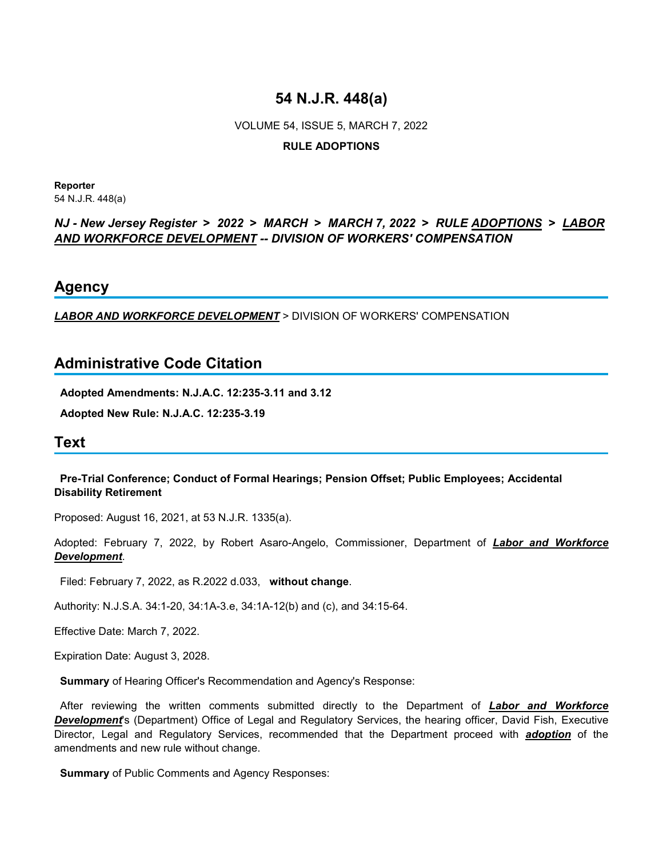# **54 N.J.R. 448(a)**

VOLUME 54, ISSUE 5, MARCH 7, 2022 **RULE ADOPTIONS**

**Reporter** 54 N.J.R. 448(a)

### *NJ - New Jersey Register* **>** *2022* **>** *MARCH* **>** *MARCH 7, 2022* **>** *RULE ADOPTIONS* **>** *LABOR AND WORKFORCE DEVELOPMENT -- DIVISION OF WORKERS' COMPENSATION*

## **Agency**

*LABOR AND WORKFORCE DEVELOPMENT* > DIVISION OF WORKERS' COMPENSATION

## **Administrative Code Citation**

**Adopted Amendments: N.J.A.C. 12:235-3.11 and 3.12**

**Adopted New Rule: N.J.A.C. 12:235-3.19**

## **Text**

### **Pre-Trial Conference; Conduct of Formal Hearings; Pension Offset; Public Employees; Accidental Disability Retirement**

Proposed: August 16, 2021, at 53 N.J.R. 1335(a).

Adopted: February 7, 2022, by Robert Asaro-Angelo, Commissioner, Department of *Labor and Workforce Development*.

Filed: February 7, 2022, as R.2022 d.033, **without change**.

Authority: N.J.S.A. 34:1-20, 34:1A-3.e, 34:1A-12(b) and (c), and 34:15-64.

Effective Date: March 7, 2022.

Expiration Date: August 3, 2028.

**Summary** of Hearing Officer's Recommendation and Agency's Response:

 After reviewing the written comments submitted directly to the Department of *Labor and Workforce Development*'s (Department) Office of Legal and Regulatory Services, the hearing officer, David Fish, Executive Director, Legal and Regulatory Services, recommended that the Department proceed with *adoption* of the amendments and new rule without change.

**Summary** of Public Comments and Agency Responses: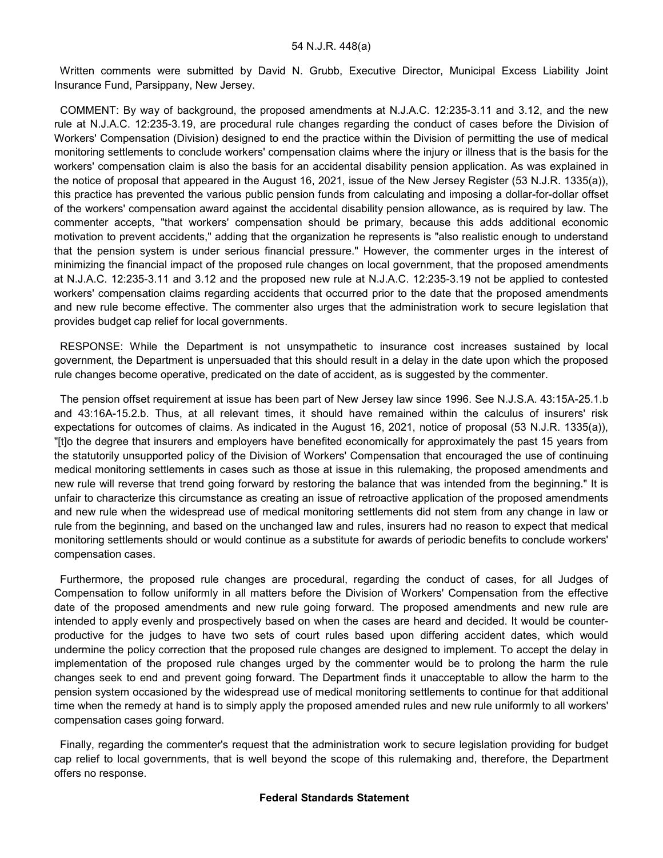Written comments were submitted by David N. Grubb, Executive Director, Municipal Excess Liability Joint Insurance Fund, Parsippany, New Jersey.

 COMMENT: By way of background, the proposed amendments at N.J.A.C. 12:235-3.11 and 3.12, and the new rule at N.J.A.C. 12:235-3.19, are procedural rule changes regarding the conduct of cases before the Division of Workers' Compensation (Division) designed to end the practice within the Division of permitting the use of medical monitoring settlements to conclude workers' compensation claims where the injury or illness that is the basis for the workers' compensation claim is also the basis for an accidental disability pension application. As was explained in the notice of proposal that appeared in the August 16, 2021, issue of the New Jersey Register (53 N.J.R. 1335(a)), this practice has prevented the various public pension funds from calculating and imposing a dollar-for-dollar offset of the workers' compensation award against the accidental disability pension allowance, as is required by law. The commenter accepts, "that workers' compensation should be primary, because this adds additional economic motivation to prevent accidents," adding that the organization he represents is "also realistic enough to understand that the pension system is under serious financial pressure." However, the commenter urges in the interest of minimizing the financial impact of the proposed rule changes on local government, that the proposed amendments at N.J.A.C. 12:235-3.11 and 3.12 and the proposed new rule at N.J.A.C. 12:235-3.19 not be applied to contested workers' compensation claims regarding accidents that occurred prior to the date that the proposed amendments and new rule become effective. The commenter also urges that the administration work to secure legislation that provides budget cap relief for local governments.

 RESPONSE: While the Department is not unsympathetic to insurance cost increases sustained by local government, the Department is unpersuaded that this should result in a delay in the date upon which the proposed rule changes become operative, predicated on the date of accident, as is suggested by the commenter.

 The pension offset requirement at issue has been part of New Jersey law since 1996. See N.J.S.A. 43:15A-25.1.b and 43:16A-15.2.b. Thus, at all relevant times, it should have remained within the calculus of insurers' risk expectations for outcomes of claims. As indicated in the August 16, 2021, notice of proposal (53 N.J.R. 1335(a)), "[t]o the degree that insurers and employers have benefited economically for approximately the past 15 years from the statutorily unsupported policy of the Division of Workers' Compensation that encouraged the use of continuing medical monitoring settlements in cases such as those at issue in this rulemaking, the proposed amendments and new rule will reverse that trend going forward by restoring the balance that was intended from the beginning." It is unfair to characterize this circumstance as creating an issue of retroactive application of the proposed amendments and new rule when the widespread use of medical monitoring settlements did not stem from any change in law or rule from the beginning, and based on the unchanged law and rules, insurers had no reason to expect that medical monitoring settlements should or would continue as a substitute for awards of periodic benefits to conclude workers' compensation cases.

 Furthermore, the proposed rule changes are procedural, regarding the conduct of cases, for all Judges of Compensation to follow uniformly in all matters before the Division of Workers' Compensation from the effective date of the proposed amendments and new rule going forward. The proposed amendments and new rule are intended to apply evenly and prospectively based on when the cases are heard and decided. It would be counterproductive for the judges to have two sets of court rules based upon differing accident dates, which would undermine the policy correction that the proposed rule changes are designed to implement. To accept the delay in implementation of the proposed rule changes urged by the commenter would be to prolong the harm the rule changes seek to end and prevent going forward. The Department finds it unacceptable to allow the harm to the pension system occasioned by the widespread use of medical monitoring settlements to continue for that additional time when the remedy at hand is to simply apply the proposed amended rules and new rule uniformly to all workers' compensation cases going forward.

 Finally, regarding the commenter's request that the administration work to secure legislation providing for budget cap relief to local governments, that is well beyond the scope of this rulemaking and, therefore, the Department offers no response.

#### **Federal Standards Statement**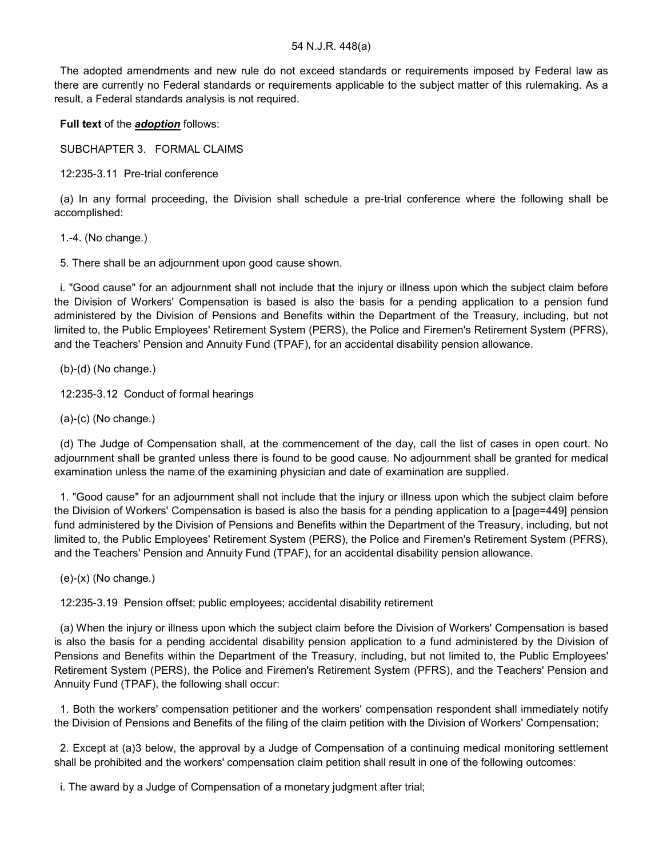#### 54 N.J.R. 448(a)

 The adopted amendments and new rule do not exceed standards or requirements imposed by Federal law as there are currently no Federal standards or requirements applicable to the subject matter of this rulemaking. As a result, a Federal standards analysis is not required.

**Full text** of the *adoption* follows:

SUBCHAPTER 3. FORMAL CLAIMS

12:235-3.11 Pre-trial conference

 (a) In any formal proceeding, the Division shall schedule a pre-trial conference where the following shall be accomplished:

1.-4. (No change.)

5. There shall be an adjournment upon good cause shown.

 i. "Good cause" for an adjournment shall not include that the injury or illness upon which the subject claim before the Division of Workers' Compensation is based is also the basis for a pending application to a pension fund administered by the Division of Pensions and Benefits within the Department of the Treasury, including, but not limited to, the Public Employees' Retirement System (PERS), the Police and Firemen's Retirement System (PFRS), and the Teachers' Pension and Annuity Fund (TPAF), for an accidental disability pension allowance.

(b)-(d) (No change.)

12:235-3.12 Conduct of formal hearings

(a)-(c) (No change.)

 (d) The Judge of Compensation shall, at the commencement of the day, call the list of cases in open court. No adjournment shall be granted unless there is found to be good cause. No adjournment shall be granted for medical examination unless the name of the examining physician and date of examination are supplied.

 1. "Good cause" for an adjournment shall not include that the injury or illness upon which the subject claim before the Division of Workers' Compensation is based is also the basis for a pending application to a [page=449] pension fund administered by the Division of Pensions and Benefits within the Department of the Treasury, including, but not limited to, the Public Employees' Retirement System (PERS), the Police and Firemen's Retirement System (PFRS), and the Teachers' Pension and Annuity Fund (TPAF), for an accidental disability pension allowance.

(e)-(x) (No change.)

12:235-3.19 Pension offset; public employees; accidental disability retirement

 (a) When the injury or illness upon which the subject claim before the Division of Workers' Compensation is based is also the basis for a pending accidental disability pension application to a fund administered by the Division of Pensions and Benefits within the Department of the Treasury, including, but not limited to, the Public Employees' Retirement System (PERS), the Police and Firemen's Retirement System (PFRS), and the Teachers' Pension and Annuity Fund (TPAF), the following shall occur:

 1. Both the workers' compensation petitioner and the workers' compensation respondent shall immediately notify the Division of Pensions and Benefits of the filing of the claim petition with the Division of Workers' Compensation;

 2. Except at (a)3 below, the approval by a Judge of Compensation of a continuing medical monitoring settlement shall be prohibited and the workers' compensation claim petition shall result in one of the following outcomes:

i. The award by a Judge of Compensation of a monetary judgment after trial;